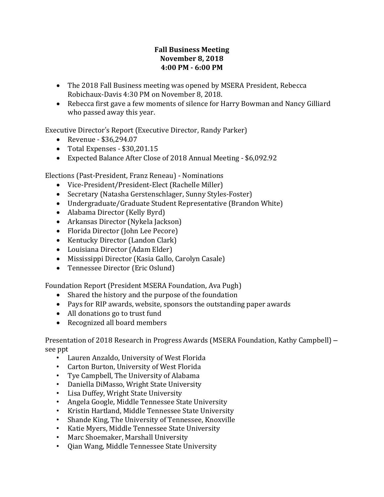## **Fall Business Meeting November 8, 2018 4:00 PM - 6:00 PM**

- The 2018 Fall Business meeting was opened by MSERA President, Rebecca Robichaux-Davis 4:30 PM on November 8, 2018.
- Rebecca first gave a few moments of silence for Harry Bowman and Nancy Gilliard who passed away this year.

Executive Director's Report (Executive Director, Randy Parker)

- Revenue \$36,294.07
- Total Expenses \$30,201.15
- Expected Balance After Close of 2018 Annual Meeting \$6,092.92

Elections (Past-President, Franz Reneau) - Nominations

- Vice-President/President-Elect (Rachelle Miller)
- Secretary (Natasha Gerstenschlager, Sunny Styles-Foster)
- Undergraduate/Graduate Student Representative (Brandon White)
- Alabama Director (Kelly Byrd)
- Arkansas Director (Nykela Jackson)
- Florida Director (John Lee Pecore)
- Kentucky Director (Landon Clark)
- Louisiana Director (Adam Elder)
- Mississippi Director (Kasia Gallo, Carolyn Casale)
- Tennessee Director (Eric Oslund)

Foundation Report (President MSERA Foundation, Ava Pugh)

- Shared the history and the purpose of the foundation
- Pays for RIP awards, website, sponsors the outstanding paper awards
- All donations go to trust fund
- Recognized all board members

Presentation of 2018 Research in Progress Awards (MSERA Foundation, Kathy Campbell) – see ppt

- Lauren Anzaldo, University of West Florida
- Carton Burton, University of West Florida
- Tye Campbell, The University of Alabama
- Daniella DiMasso, Wright State University
- Lisa Duffey, Wright State University
- Angela Google, Middle Tennessee State University
- Kristin Hartland, Middle Tennessee State University
- Shande King, The University of Tennessee, Knoxville
- Katie Myers, Middle Tennessee State University
- Marc Shoemaker, Marshall University
- Qian Wang, Middle Tennessee State University